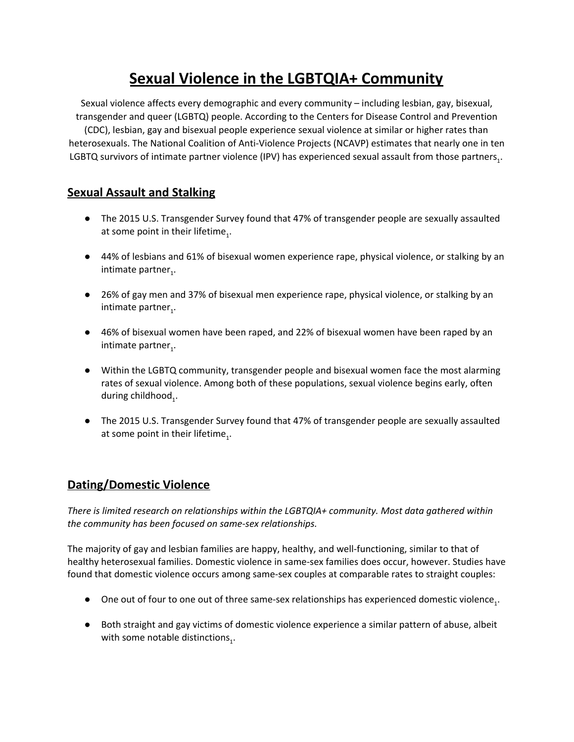# **Sexual Violence in the LGBTQIA+ Community**

Sexual violence affects every demographic and every community – including lesbian, gay, bisexual, transgender and queer (LGBTQ) people. According to the Centers for Disease Control and Prevention (CDC), lesbian, gay and bisexual people experience sexual violence at similar or higher rates than heterosexuals. The National Coalition of Anti-Violence Projects (NCAVP) estimates that nearly one in ten LGBTQ survivors of intimate partner violence (IPV) has experienced sexual assault from those partners<sub>1</sub>.

## **Sexual Assault and Stalking**

- The 2015 U.S. Transgender Survey found that 47% of transgender people are sexually assaulted at some point in their lifetime<sub>1</sub>.
- 44% of lesbians and 61% of bisexual women experience rape, physical violence, or stalking by an intimate partner<sub>1</sub>.
- 26% of gay men and 37% of bisexual men experience rape, physical violence, or stalking by an intimate partner<sub>1</sub>.
- 46% of bisexual women have been raped, and 22% of bisexual women have been raped by an intimate partner<sub>1</sub>.
- Within the LGBTQ community, transgender people and bisexual women face the most alarming rates of sexual violence. Among both of these populations, sexual violence begins early, often during childhood $_1$ .
- The 2015 U.S. Transgender Survey found that 47% of transgender people are sexually assaulted at some point in their lifetime<sub>1</sub>.

# **Dating/Domestic Violence**

*There is limited research on relationships within the LGBTQIA+ community. Most data gathered within the community has been focused on same-sex relationships.*

The majority of gay and lesbian families are happy, healthy, and well-functioning, similar to that of healthy heterosexual families. Domestic violence in same-sex families does occur, however. Studies have found that domestic violence occurs among same-sex couples at comparable rates to straight couples:

- $\bullet$  One out of four to one out of three same-sex relationships has experienced domestic violence<sub>1</sub>.
- Both straight and gay victims of domestic violence experience a similar pattern of abuse, albeit with some notable distinctions<sub>1</sub>.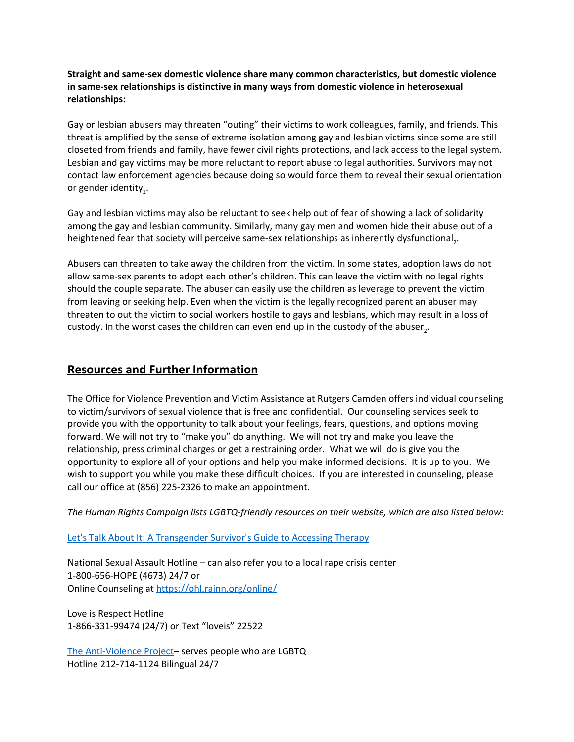**Straight and same-sex domestic violence share many common characteristics, but domestic violence in same-sex relationships is distinctive in many ways from domestic violence in heterosexual relationships:**

Gay or lesbian abusers may threaten "outing" their victims to work colleagues, family, and friends. This threat is amplified by the sense of extreme isolation among gay and lesbian victims since some are still closeted from friends and family, have fewer civil rights protections, and lack access to the legal system. Lesbian and gay victims may be more reluctant to report abuse to legal authorities. Survivors may not contact law enforcement agencies because doing so would force them to reveal their sexual orientation or gender identity<sub>2</sub>.

Gay and lesbian victims may also be reluctant to seek help out of fear of showing a lack of solidarity among the gay and lesbian community. Similarly, many gay men and women hide their abuse out of a heightened fear that society will perceive same-sex relationships as inherently dysfunctional<sub>2</sub>.

Abusers can threaten to take away the children from the victim. In some states, adoption laws do not allow same-sex parents to adopt each other's children. This can leave the victim with no legal rights should the couple separate. The abuser can easily use the children as leverage to prevent the victim from leaving or seeking help. Even when the victim is the legally recognized parent an abuser may threaten to out the victim to social workers hostile to gays and lesbians, which may result in a loss of custody. In the worst cases the children can even end up in the custody of the abuser<sub>2</sub>.

#### **Resources and Further Information**

The Office for Violence Prevention and Victim Assistance at Rutgers Camden offers individual counseling to victim/survivors of sexual violence that is free and confidential. Our counseling services seek to provide you with the opportunity to talk about your feelings, fears, questions, and options moving forward. We will not try to "make you" do anything. We will not try and make you leave the relationship, press criminal charges or get a restraining order. What we will do is give you the opportunity to explore all of your options and help you make informed decisions. It is up to you. We wish to support you while you make these difficult choices. If you are interested in counseling, please call our office at (856) 225-2326 to make an appointment.

*The Human Rights Campaign lists LGBTQ-friendly resources on their website, which are also listed below:*

Let's Talk About It: A [Transgender](https://forge-forward.org/wp-content/docs/Lets-Talk-Therapist-Guide.pdf) Survivor's Guide to Accessing Therapy

National Sexual Assault Hotline – can also refer you to a local rape crisis center 1-800-656-HOPE (4673) 24/7 or Online Counseling at <https://ohl.rainn.org/online/>

Love is Respect Hotline 1-866-331-99474 (24/7) or Text "loveis" 22522

The [Anti-Violence](https://avp.org/) Project– serves people who are LGBTQ Hotline 212-714-1124 Bilingual 24/7